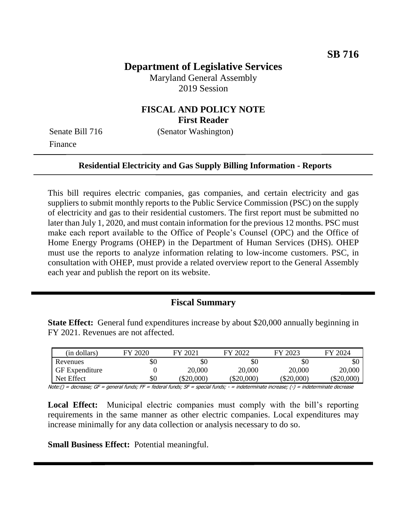# **Department of Legislative Services**

Maryland General Assembly 2019 Session

### **FISCAL AND POLICY NOTE First Reader**

Finance

Senate Bill 716 (Senator Washington)

#### **Residential Electricity and Gas Supply Billing Information - Reports**

This bill requires electric companies, gas companies, and certain electricity and gas suppliers to submit monthly reports to the Public Service Commission (PSC) on the supply of electricity and gas to their residential customers. The first report must be submitted no later than July 1, 2020, and must contain information for the previous 12 months. PSC must make each report available to the Office of People's Counsel (OPC) and the Office of Home Energy Programs (OHEP) in the Department of Human Services (DHS). OHEP must use the reports to analyze information relating to low-income customers. PSC, in consultation with OHEP, must provide a related overview report to the General Assembly each year and publish the report on its website.

### **Fiscal Summary**

**State Effect:** General fund expenditures increase by about \$20,000 annually beginning in FY 2021. Revenues are not affected.

| (in dollars)          | FY 2020 | $\left(202\right)$<br>FV | FY 2022  | FY 2023  | FY 2024    |
|-----------------------|---------|--------------------------|----------|----------|------------|
| Revenues              | \$0     | \$0                      | \$0      | \$0      | \$0        |
| <b>GF</b> Expenditure |         | 20,000                   | 20,000   | 20,000   | 20,000     |
| Net Effect            | \$0     | \$20,000                 | \$20,000 | \$20,000 | (\$20,000) |

Note:() = decrease; GF = general funds; FF = federal funds; SF = special funds; - = indeterminate increase; (-) = indeterminate decrease

**Local Effect:** Municipal electric companies must comply with the bill's reporting requirements in the same manner as other electric companies. Local expenditures may increase minimally for any data collection or analysis necessary to do so.

**Small Business Effect:** Potential meaningful.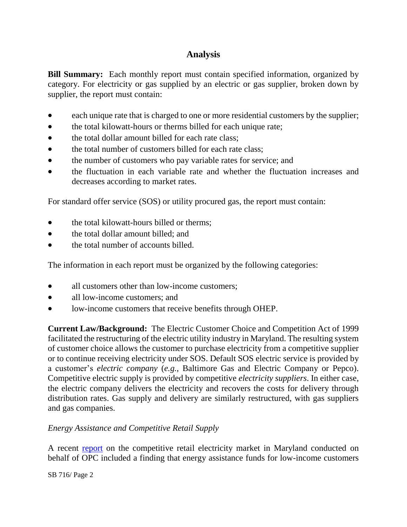# **Analysis**

**Bill Summary:** Each monthly report must contain specified information, organized by category. For electricity or gas supplied by an electric or gas supplier, broken down by supplier, the report must contain:

- each unique rate that is charged to one or more residential customers by the supplier;
- the total kilowatt-hours or therms billed for each unique rate;
- the total dollar amount billed for each rate class:
- the total number of customers billed for each rate class;
- the number of customers who pay variable rates for service; and
- the fluctuation in each variable rate and whether the fluctuation increases and decreases according to market rates.

For standard offer service (SOS) or utility procured gas, the report must contain:

- the total kilowatt-hours billed or therms;
- the total dollar amount billed; and
- the total number of accounts billed.

The information in each report must be organized by the following categories:

- all customers other than low-income customers:
- all low-income customers; and
- low-income customers that receive benefits through OHEP.

**Current Law/Background:** The Electric Customer Choice and Competition Act of 1999 facilitated the restructuring of the electric utility industry in Maryland. The resulting system of customer choice allows the customer to purchase electricity from a competitive supplier or to continue receiving electricity under SOS. Default SOS electric service is provided by a customer's *electric company* (*e.g.*, Baltimore Gas and Electric Company or Pepco). Competitive electric supply is provided by competitive *electricity suppliers*. In either case, the electric company delivers the electricity and recovers the costs for delivery through distribution rates. Gas supply and delivery are similarly restructured, with gas suppliers and gas companies.

### *Energy Assistance and Competitive Retail Supply*

A recent [report](http://www.opc.state.md.us/Portals/0/Hot%20Topics/Maryland%20Electric%20and%20Gas%20Residential%20Supply%20Report%20November%202018.pdf) on the competitive retail electricity market in Maryland conducted on behalf of OPC included a finding that energy assistance funds for low-income customers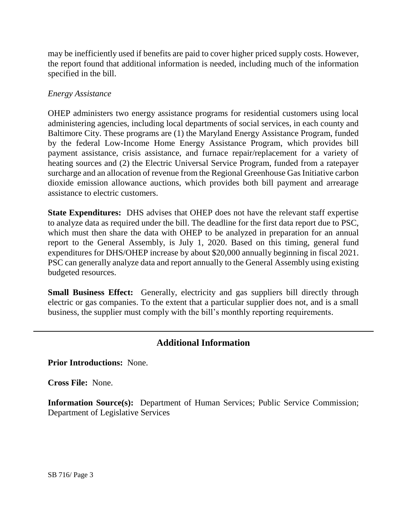may be inefficiently used if benefits are paid to cover higher priced supply costs. However, the report found that additional information is needed, including much of the information specified in the bill.

#### *Energy Assistance*

OHEP administers two energy assistance programs for residential customers using local administering agencies, including local departments of social services, in each county and Baltimore City. These programs are (1) the Maryland Energy Assistance Program, funded by the federal Low-Income Home Energy Assistance Program, which provides bill payment assistance, crisis assistance, and furnace repair/replacement for a variety of heating sources and (2) the Electric Universal Service Program, funded from a ratepayer surcharge and an allocation of revenue from the Regional Greenhouse Gas Initiative carbon dioxide emission allowance auctions, which provides both bill payment and arrearage assistance to electric customers.

**State Expenditures:** DHS advises that OHEP does not have the relevant staff expertise to analyze data as required under the bill. The deadline for the first data report due to PSC, which must then share the data with OHEP to be analyzed in preparation for an annual report to the General Assembly, is July 1, 2020. Based on this timing, general fund expenditures for DHS/OHEP increase by about \$20,000 annually beginning in fiscal 2021. PSC can generally analyze data and report annually to the General Assembly using existing budgeted resources.

**Small Business Effect:** Generally, electricity and gas suppliers bill directly through electric or gas companies. To the extent that a particular supplier does not, and is a small business, the supplier must comply with the bill's monthly reporting requirements.

## **Additional Information**

**Prior Introductions:** None.

**Cross File:** None.

**Information Source(s):** Department of Human Services; Public Service Commission; Department of Legislative Services